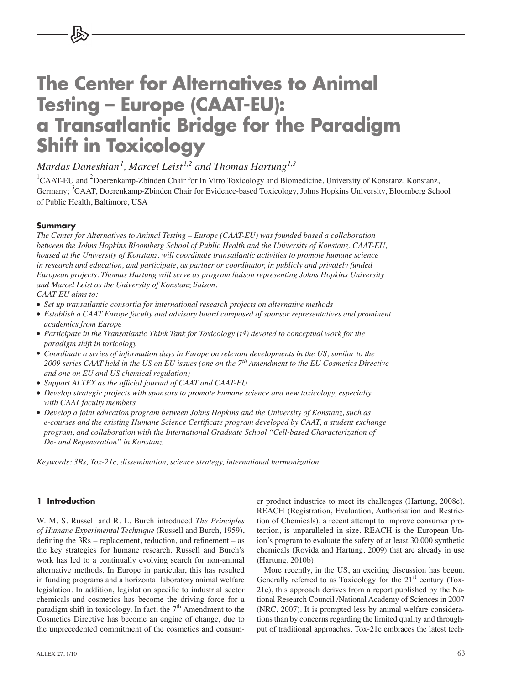# **The Center for Alternatives to Animal Testing – Europe (CAAT-EU): a Transatlantic Bridge for the Paradigm Shift in Toxicology**

*Mardas Daneshian<sup>1</sup> , Marcel Leist 1,2 and Thomas Hartung1,3*

 ${}^{1}$ CAAT-EU and  ${}^{2}$ Doerenkamp-Zbinden Chair for In Vitro Toxicology and Biomedicine, University of Konstanz, Konstanz, Germany; <sup>3</sup>CAAT, Doerenkamp-Zbinden Chair for Evidence-based Toxicology, Johns Hopkins University, Bloomberg School of Public Health, Baltimore, USA

## **Summary**

*The Center for Alternatives to Animal Testing – Europe (CAAT-EU) was founded based a collaboration between the Johns Hopkins Bloomberg School of Public Health and the University of Konstanz. CAAT-EU, housed at the University of Konstanz, will coordinate transatlantic activities to promote humane science in research and education, and participate, as partner or coordinator, in publicly and privately funded European projects. Thomas Hartung will serve as program liaison representing Johns Hopkins University and Marcel Leist as the University of Konstanz liaison.* 

*CAAT-EU aims to:*

- *• Set up transatlantic consortia for international research projects on alternative methods*
- *• Establish a CAAT Europe faculty and advisory board composed of sponsor representatives and prominent academics from Europe*
- Participate in the Transatlantic Think Tank for Toxicology (t<sup>4</sup>) devoted to conceptual work for the *paradigm shift in toxicology*
- *• Coordinate a series of information days in Europe on relevant developments in the US, similar to the 2009 series CAAT held in the US on EU issues (one on the 7th Amendment to the EU Cosmetics Directive and one on EU and US chemical regulation)*
- *• Support ALTEX as the official journal of CAAT and CAAT-EU*
- *• Develop strategic projects with sponsors to promote humane science and new toxicology, especially with CAAT faculty members*
- *• Develop a joint education program between Johns Hopkins and the University of Konstanz, such as e-courses and the existing Humane Science Certificate program developed by CAAT, a student exchange program, and collaboration with the International Graduate School "Cell-based Characterization of De- and Regeneration" in Konstanz*

*Keywords: 3Rs, Tox-21c, dissemination, science strategy, international harmonization*

## **1 Introduction**

W. M. S. Russell and R. L. Burch introduced *The Principles of Humane Experimental Technique* (Russell and Burch, 1959), defining the 3Rs – replacement, reduction, and refinement – as the key strategies for humane research. Russell and Burch's work has led to a continually evolving search for non-animal alternative methods. In Europe in particular, this has resulted in funding programs and a horizontal laboratory animal welfare legislation. In addition, legislation specific to industrial sector chemicals and cosmetics has become the driving force for a paradigm shift in toxicology. In fact, the  $7<sup>th</sup>$  Amendment to the Cosmetics Directive has become an engine of change, due to the unprecedented commitment of the cosmetics and consum-

More recently, in the US, an exciting discussion has begun. Generally referred to as Toxicology for the  $21<sup>st</sup>$  century (Tox-21c), this approach derives from a report published by the National Research Council /National Academy of Sciences in 2007 (NRC, 2007). It is prompted less by animal welfare considera-

(Hartung, 2010b).

er product industries to meet its challenges (Hartung, 2008c). REACH (Registration, Evaluation, Authorisation and Restriction of Chemicals), a recent attempt to improve consumer protection, is unparalleled in size. REACH is the European Union's program to evaluate the safety of at least 30,000 synthetic chemicals (Rovida and Hartung, 2009) that are already in use

tions than by concerns regarding the limited quality and throughput of traditional approaches. Tox-21c embraces the latest tech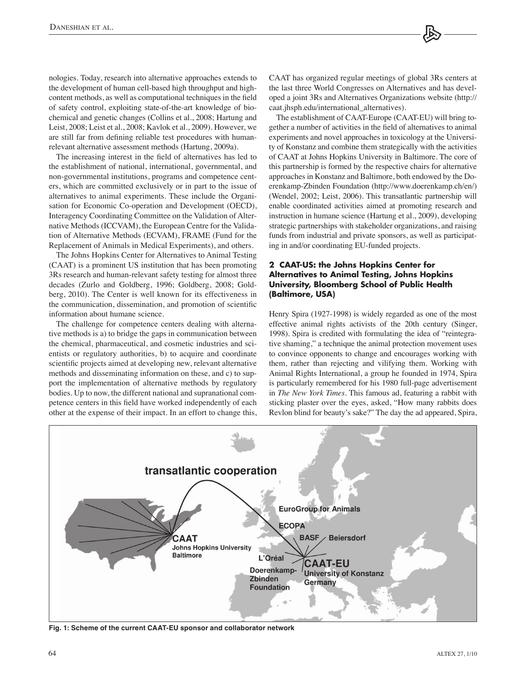nologies. Today, research into alternative approaches extends to the development of human cell-based high throughput and highcontent methods, as well as computational techniques in the field of safety control, exploiting state-of-the-art knowledge of biochemical and genetic changes (Collins et al., 2008; Hartung and Leist, 2008; Leist et al., 2008; Kavlok et al., 2009). However, we are still far from defining reliable test procedures with humanrelevant alternative assessment methods (Hartung, 2009a).

The increasing interest in the field of alternatives has led to the establishment of national, international, governmental, and non-governmental institutions, programs and competence centers, which are committed exclusively or in part to the issue of alternatives to animal experiments. These include the Organisation for Economic Co-operation and Development (OECD), Interagency Coordinating Committee on the Validation of Alternative Methods (ICCVAM), the European Centre for the Validation of Alternative Methods (ECVAM), FRAME (Fund for the Replacement of Animals in Medical Experiments), and others.

The Johns Hopkins Center for Alternatives to Animal Testing (CAAT) is a prominent US institution that has been promoting 3Rs research and human-relevant safety testing for almost three decades (Zurlo and Goldberg, 1996; Goldberg, 2008; Goldberg, 2010). The Center is well known for its effectiveness in the communication, dissemination, and promotion of scientific information about humane science.

The challenge for competence centers dealing with alternative methods is a) to bridge the gaps in communication between the chemical, pharmaceutical, and cosmetic industries and scientists or regulatory authorities, b) to acquire and coordinate scientific projects aimed at developing new, relevant alternative methods and disseminating information on these, and c) to support the implementation of alternative methods by regulatory bodies. Up to now, the different national and supranational competence centers in this field have worked independently of each other at the expense of their impact. In an effort to change this, CAAT has organized regular meetings of global 3Rs centers at the last three World Congresses on Alternatives and has developed a joint 3Rs and Alternatives Organizations website (http:// caat.jhsph.edu/international\_alternatives).

The establishment of CAAT-Europe (CAAT-EU) will bring together a number of activities in the field of alternatives to animal experiments and novel approaches in toxicology at the University of Konstanz and combine them strategically with the activities of CAAT at Johns Hopkins University in Baltimore. The core of this partnership is formed by the respective chairs for alternative approaches in Konstanz and Baltimore, both endowed by the Doerenkamp-Zbinden Foundation (http://www.doerenkamp.ch/en/) (Wendel, 2002; Leist, 2006). This transatlantic partnership will enable coordinated activities aimed at promoting research and instruction in humane science (Hartung et al., 2009), developing strategic partnerships with stakeholder organizations, and raising funds from industrial and private sponsors, as well as participating in and/or coordinating EU-funded projects.

## **2 CAAT-US: the Johns Hopkins Center for Alternatives to Animal Testing, Johns Hopkins University, Bloomberg School of Public Health (Baltimore, USA)**

Henry Spira (1927-1998) is widely regarded as one of the most effective animal rights activists of the 20th century (Singer, 1998). Spira is credited with formulating the idea of "reintegrative shaming," a technique the animal protection movement uses to convince opponents to change and encourages working with them, rather than rejecting and vilifying them. Working with Animal Rights International, a group he founded in 1974, Spira is particularly remembered for his 1980 full-page advertisement in *The New York Times*. This famous ad, featuring a rabbit with sticking plaster over the eyes, asked, "How many rabbits does Revlon blind for beauty's sake?" The day the ad appeared, Spira,



**Fig. 1: Scheme of the current CAAT-EU sponsor and collaborator network**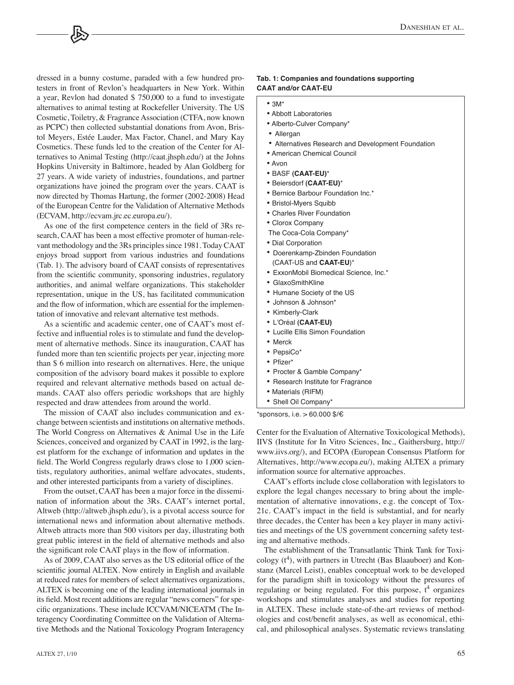dressed in a bunny costume, paraded with a few hundred protesters in front of Revlon's headquarters in New York. Within a year, Revlon had donated \$ 750,000 to a fund to investigate alternatives to animal testing at Rockefeller University. The US Cosmetic, Toiletry, & Fragrance Association (CTFA, now known as PCPC) then collected substantial donations from Avon, Bristol Meyers, Estée Lauder, Max Factor, Chanel, and Mary Kay Cosmetics. These funds led to the creation of the Center for Alternatives to Animal Testing (http://caat.jhsph.edu/) at the Johns Hopkins University in Baltimore, headed by Alan Goldberg for 27 years. A wide variety of industries, foundations, and partner organizations have joined the program over the years. CAAT is now directed by Thomas Hartung, the former (2002-2008) Head of the European Centre for the Validation of Alternative Methods (ECVAM, http://ecvam.jrc.ec.europa.eu/).

As one of the first competence centers in the field of 3Rs research, CAAT has been a most effective promoter of human-relevant methodology and the 3Rs principles since 1981. Today CAAT enjoys broad support from various industries and foundations (Tab. 1). The advisory board of CAAT consists of representatives from the scientific community, sponsoring industries, regulatory authorities, and animal welfare organizations. This stakeholder representation, unique in the US, has facilitated communication and the flow of information, which are essential for the implementation of innovative and relevant alternative test methods.

As a scientific and academic center, one of CAAT's most effective and influential roles is to stimulate and fund the development of alternative methods. Since its inauguration, CAAT has funded more than ten scientific projects per year, injecting more than \$ 6 million into research on alternatives. Here, the unique composition of the advisory board makes it possible to explore required and relevant alternative methods based on actual demands. CAAT also offers periodic workshops that are highly respected and draw attendees from around the world.

The mission of CAAT also includes communication and exchange between scientists and institutions on alternative methods. The World Congress on Alternatives & Animal Use in the Life Sciences, conceived and organized by CAAT in 1992, is the largest platform for the exchange of information and updates in the field. The World Congress regularly draws close to 1,000 scientists, regulatory authorities, animal welfare advocates, students, and other interested participants from a variety of disciplines.

From the outset, CAAT has been a major force in the dissemination of information about the 3Rs. CAAT's internet portal, Altweb (http://altweb.jhsph.edu/), is a pivotal access source for international news and information about alternative methods. Altweb attracts more than 500 visitors per day, illustrating both great public interest in the field of alternative methods and also the significant role CAAT plays in the flow of information.

As of 2009, CAAT also serves as the US editorial office of the scientific journal ALTEX. Now entirely in English and available at reduced rates for members of select alternatives organizations, ALTEX is becoming one of the leading international journals in its field. Most recent additions are regular "news corners" for specific organizations. These include ICCVAM/NICEATM (The Interagency Coordinating Committee on the Validation of Alternative Methods and the National Toxicology Program Interagency

#### **Tab. 1: Companies and foundations supporting CAAT and/or CAAT-EU**

| $\bullet$ 3M* |  |
|---------------|--|
|---------------|--|

- **•** Abbott Laboratories
- **•** Alberto-Culver Company\*
- Allergan
- Alternatives Research and Development Foundation
- **•** American Chemical Council
- **•** Avon
- **•** BASF **(CAAT-EU)**\*
- **•** Beiersdorf **(CAAT-EU)**\*
- **•** Bernice Barbour Foundation Inc.\*
- **•** Bristol-Myers Squibb
- **•** Charles River Foundation
- **•** Clorox Company
- The Coca-Cola Company\*
- **•** Dial Corporation
- Doerenkamp-Zbinden Foundation (CAAT-US and **CAAT-EU**)\*
- ExxonMobil Biomedical Science, Inc.\*
- GlaxoSmithKline
- Humane Society of the US
- Johnson & Johnson\*
- Kimberly-Clark
- L'Oréal **(CAAT-EU)**
- Lucille Ellis Simon Foundation
- Merck
- PepsiCo\*
- Pfizer\*
- Procter & Gamble Company\*
- Research Institute for Fragrance
- **•** Materials (RIFM)
- Shell Oil Company\*

\*sponsors, i.e. > 60.000 \$/€

Center for the Evaluation of Alternative Toxicological Methods), IIVS (Institute for In Vitro Sciences, Inc., Gaithersburg, http:// www.iivs.org/), and ECOPA (European Consensus Platform for Alternatives, http://www.ecopa.eu/), making ALTEX a primary information source for alternative approaches.

CAAT's efforts include close collaboration with legislators to explore the legal changes necessary to bring about the implementation of alternative innovations, e.g. the concept of Tox-21c. CAAT's impact in the field is substantial, and for nearly three decades, the Center has been a key player in many activities and meetings of the US government concerning safety testing and alternative methods.

The establishment of the Transatlantic Think Tank for Toxicology  $(t^4)$ , with partners in Utrecht (Bas Blaauboer) and Konstanz (Marcel Leist), enables conceptual work to be developed for the paradigm shift in toxicology without the pressures of regulating or being regulated. For this purpose,  $t^4$  organizes workshops and stimulates analyses and studies for reporting in ALTEX. These include state-of-the-art reviews of methodologies and cost/benefit analyses, as well as economical, ethical, and philosophical analyses. Systematic reviews translating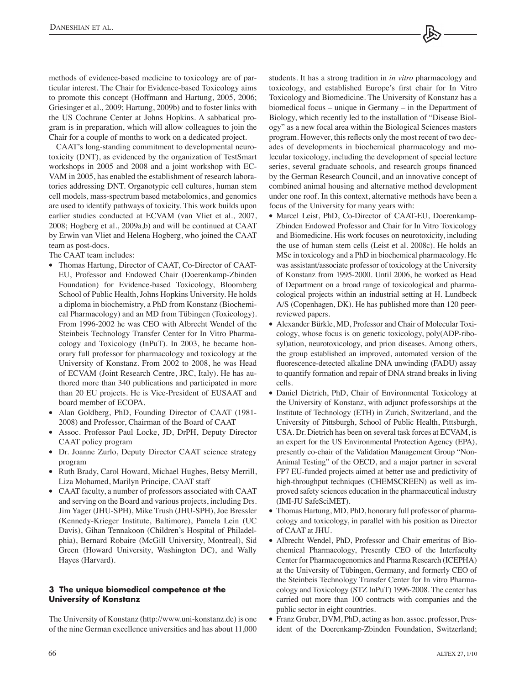methods of evidence-based medicine to toxicology are of particular interest. The Chair for Evidence-based Toxicology aims to promote this concept (Hoffmann and Hartung, 2005, 2006; Griesinger et al., 2009; Hartung, 2009b) and to foster links with the US Cochrane Center at Johns Hopkins. A sabbatical program is in preparation, which will allow colleagues to join the Chair for a couple of months to work on a dedicated project.

CAAT's long-standing commitment to developmental neurotoxicity (DNT), as evidenced by the organization of TestSmart workshops in 2005 and 2008 and a joint workshop with EC-VAM in 2005, has enabled the establishment of research laboratories addressing DNT. Organotypic cell cultures, human stem cell models, mass-spectrum based metabolomics, and genomics are used to identify pathways of toxicity. This work builds upon earlier studies conducted at ECVAM (van Vliet et al., 2007, 2008; Hogberg et al., 2009a,b) and will be continued at CAAT by Erwin van Vliet and Helena Hogberg, who joined the CAAT team as post-docs.

The CAAT team includes:

- *•* Thomas Hartung, Director of CAAT, Co-Director of CAAT-EU, Professor and Endowed Chair (Doerenkamp-Zbinden Foundation) for Evidence-based Toxicology, Bloomberg School of Public Health, Johns Hopkins University. He holds a diploma in biochemistry, a PhD from Konstanz (Biochemical Pharmacology) and an MD from Tübingen (Toxicology). From 1996-2002 he was CEO with Albrecht Wendel of the Steinbeis Technology Transfer Center for In Vitro Pharmacology and Toxicology (InPuT). In 2003, he became honorary full professor for pharmacology and toxicology at the University of Konstanz. From 2002 to 2008, he was Head of ECVAM (Joint Research Centre, JRC, Italy). He has authored more than 340 publications and participated in more than 20 EU projects. He is Vice-President of EUSAAT and board member of ECOPA.
- *•* Alan Goldberg, PhD, Founding Director of CAAT (1981- 2008) and Professor, Chairman of the Board of CAAT
- *•* Assoc. Professor Paul Locke, JD, DrPH, Deputy Director CAAT policy program
- *•* Dr. Joanne Zurlo, Deputy Director CAAT science strategy program
- *•* Ruth Brady, Carol Howard, Michael Hughes, Betsy Merrill, Liza Mohamed, Marilyn Principe, CAAT staff
- *•* CAAT faculty, a number of professors associated with CAAT and serving on the Board and various projects, including Drs. Jim Yager (JHU-SPH), Mike Trush (JHU-SPH), Joe Bressler (Kennedy-Krieger Institute, Baltimore), Pamela Lein (UC Davis), Gihan Tennakoon (Children's Hospital of Philadelphia), Bernard Robaire (McGill University, Montreal), Sid Green (Howard University, Washington DC), and Wally Hayes (Harvard).

## **3 The unique biomedical competence at the University of Konstanz**

The University of Konstanz (http://www.uni-konstanz.de) is one of the nine German excellence universities and has about 11,000 students. It has a strong tradition in *in vitro* pharmacology and toxicology, and established Europe's first chair for In Vitro Toxicology and Biomedicine. The University of Konstanz has a biomedical focus – unique in Germany – in the Department of Biology, which recently led to the installation of "Disease Biology" as a new focal area within the Biological Sciences masters program. However, this reflects only the most recent of two decades of developments in biochemical pharmacology and molecular toxicology, including the development of special lecture series, several graduate schools, and research groups financed by the German Research Council, and an innovative concept of combined animal housing and alternative method development under one roof. In this context, alternative methods have been a focus of the University for many years with:

- *•* Marcel Leist, PhD, Co-Director of CAAT-EU, Doerenkamp-Zbinden Endowed Professor and Chair for In Vitro Toxicology and Biomedicine. His work focuses on neurotoxicity, including the use of human stem cells (Leist et al. 2008c). He holds an MSc in toxicology and a PhD in biochemical pharmacology. He was assistant/associate professor of toxicology at the University of Konstanz from 1995-2000. Until 2006, he worked as Head of Department on a broad range of toxicological and pharmacological projects within an industrial setting at H. Lundbeck A/S (Copenhagen, DK). He has published more than 120 peerreviewed papers.
- *•* Alexander Bürkle, MD, Professor and Chair of Molecular Toxicology, whose focus is on genetic toxicology, poly(ADP-ribosyl)ation, neurotoxicology, and prion diseases. Among others, the group established an improved, automated version of the fluorescence-detected alkaline DNA unwinding (FADU) assay to quantify formation and repair of DNA strand breaks in living cells.
- *•* Daniel Dietrich, PhD, Chair of Environmental Toxicology at the University of Konstanz, with adjunct professorships at the Institute of Technology (ETH) in Zurich, Switzerland, and the University of Pittsburgh, School of Public Health, Pittsburgh, USA. Dr. Dietrich has been on several task forces at ECVAM, is an expert for the US Environmental Protection Agency (EPA), presently co-chair of the Validation Management Group "Non-Animal Testing" of the OECD, and a major partner in several FP7 EU-funded projects aimed at better use and predictivity of high-throughput techniques (CHEMSCREEN) as well as improved safety sciences education in the pharmaceutical industry (IMI-JU SafeSciMET).
- *•* Thomas Hartung, MD, PhD, honorary full professor of pharmacology and toxicology, in parallel with his position as Director of CAAT at JHU.
- *•* Albrecht Wendel, PhD, Professor and Chair emeritus of Biochemical Pharmacology, Presently CEO of the Interfaculty Center for Pharmacogenomics and Pharma Research (ICEPHA) at the University of Tübingen, Germany, and formerly CEO of the Steinbeis Technology Transfer Center for In vitro Pharmacology and Toxicology (STZ InPuT) 1996-2008. The center has carried out more than 100 contracts with companies and the public sector in eight countries.
- *•* Franz Gruber, DVM, PhD, acting as hon. assoc. professor, President of the Doerenkamp-Zbinden Foundation, Switzerland;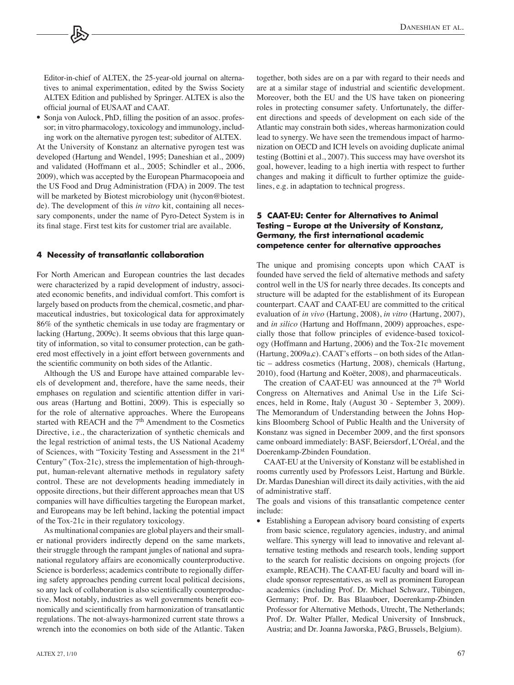Editor-in-chief of ALTEX, the 25-year-old journal on alternatives to animal experimentation, edited by the Swiss Society ALTEX Edition and published by Springer. ALTEX is also the official journal of EUSAAT and CAAT.

*•* Sonja von Aulock, PhD, filling the position of an assoc. professor; in vitro pharmacology, toxicology and immunology, including work on the alternative pyrogen test; subeditor of ALTEX.

At the University of Konstanz an alternative pyrogen test was developed (Hartung and Wendel, 1995; Daneshian et al., 2009) and validated (Hoffmann et al., 2005; Schindler et al., 2006, 2009), which was accepted by the European Pharmacopoeia and the US Food and Drug Administration (FDA) in 2009. The test will be marketed by Biotest microbiology unit (hycon@biotest. de). The development of this *in vitro* kit, containing all necessary components, under the name of Pyro-Detect System is in its final stage. First test kits for customer trial are available.

#### **4 Necessity of transatlantic collaboration**

For North American and European countries the last decades were characterized by a rapid development of industry, associated economic benefits, and individual comfort. This comfort is largely based on products from the chemical, cosmetic, and pharmaceutical industries, but toxicological data for approximately 86% of the synthetic chemicals in use today are fragmentary or lacking (Hartung, 2009c). It seems obvious that this large quantity of information, so vital to consumer protection, can be gathered most effectively in a joint effort between governments and the scientific community on both sides of the Atlantic.

Although the US and Europe have attained comparable levels of development and, therefore, have the same needs, their emphases on regulation and scientific attention differ in various areas (Hartung and Bottini, 2009). This is especially so for the role of alternative approaches. Where the Europeans started with REACH and the  $7<sup>th</sup>$  Amendment to the Cosmetics Directive, i.e., the characterization of synthetic chemicals and the legal restriction of animal tests, the US National Academy of Sciences, with "Toxicity Testing and Assessment in the 21st Century" (Tox-21c), stress the implementation of high-throughput, human-relevant alternative methods in regulatory safety control. These are not developments heading immediately in opposite directions, but their different approaches mean that US companies will have difficulties targeting the European market, and Europeans may be left behind, lacking the potential impact of the Tox-21c in their regulatory toxicology.

As multinational companies are global players and their smaller national providers indirectly depend on the same markets, their struggle through the rampant jungles of national and supranational regulatory affairs are economically counterproductive. Science is borderless; academics contribute to regionally differing safety approaches pending current local political decisions, so any lack of collaboration is also scientifically counterproductive. Most notably, industries as well governments benefit economically and scientifically from harmonization of transatlantic regulations. The not-always-harmonized current state throws a wrench into the economies on both side of the Atlantic. Taken

together, both sides are on a par with regard to their needs and are at a similar stage of industrial and scientific development. Moreover, both the EU and the US have taken on pioneering roles in protecting consumer safety. Unfortunately, the different directions and speeds of development on each side of the Atlantic may constrain both sides, whereas harmonization could lead to synergy. We have seen the tremendous impact of harmonization on OECD and ICH levels on avoiding duplicate animal testing (Bottini et al., 2007). This success may have overshot its goal, however, leading to a high inertia with respect to further changes and making it difficult to further optimize the guidelines, e.g. in adaptation to technical progress.

## **5 CAAT-EU: Center for Alternatives to Animal Testing – Europe at the University of Konstanz, Germany, the first international academic competence center for alternative approaches**

The unique and promising concepts upon which CAAT is founded have served the field of alternative methods and safety control well in the US for nearly three decades. Its concepts and structure will be adapted for the establishment of its European counterpart. CAAT and CAAT-EU are committed to the critical evaluation of *in vivo* (Hartung, 2008), *in vitro* (Hartung, 2007), and *in silico* (Hartung and Hoffmann, 2009) approaches, especially those that follow principles of evidence-based toxicology (Hoffmann and Hartung, 2006) and the Tox-21c movement (Hartung, 2009a,c). CAAT's efforts – on both sides of the Atlantic – address cosmetics (Hartung, 2008), chemicals (Hartung, 2010), food (Hartung and Koëter, 2008), and pharmaceuticals.

The creation of CAAT-EU was announced at the  $7<sup>th</sup>$  World Congress on Alternatives and Animal Use in the Life Sciences, held in Rome, Italy (August 30 - September 3, 2009). The Memorandum of Understanding between the Johns Hopkins Bloomberg School of Public Health and the University of Konstanz was signed in December 2009, and the first sponsors came onboard immediately: BASF, Beiersdorf, L'Oréal, and the Doerenkamp-Zbinden Foundation.

CAAT-EU at the University of Konstanz will be established in rooms currently used by Professors Leist, Hartung and Bürkle. Dr. Mardas Daneshian will direct its daily activities, with the aid of administrative staff.

The goals and visions of this transatlantic competence center include:

*•* Establishing a European advisory board consisting of experts from basic science, regulatory agencies, industry, and animal welfare. This synergy will lead to innovative and relevant alternative testing methods and research tools, lending support to the search for realistic decisions on ongoing projects (for example, REACH). The CAAT-EU faculty and board will include sponsor representatives, as well as prominent European academics (including Prof. Dr. Michael Schwarz, Tübingen, Germany; Prof. Dr. Bas Blaauboer, Doerenkamp-Zbinden Professor for Alternative Methods, Utrecht, The Netherlands; Prof. Dr. Walter Pfaller, Medical University of Innsbruck, Austria; and Dr. Joanna Jaworska, P&G, Brussels, Belgium).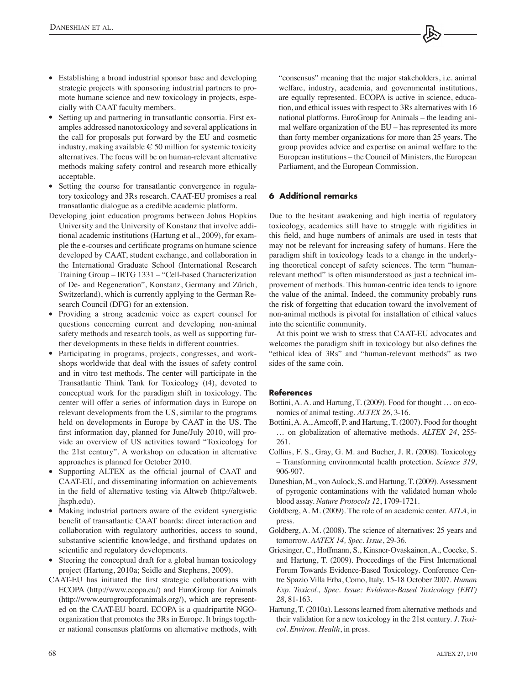- *•* Establishing a broad industrial sponsor base and developing strategic projects with sponsoring industrial partners to promote humane science and new toxicology in projects, especially with CAAT faculty members.
- *•* Setting up and partnering in transatlantic consortia. First examples addressed nanotoxicology and several applications in the call for proposals put forward by the EU and cosmetic industry, making available  $\epsilon$  50 million for systemic toxicity alternatives. The focus will be on human-relevant alternative methods making safety control and research more ethically acceptable.
- Setting the course for transatlantic convergence in regulatory toxicology and 3Rs research. CAAT-EU promises a real transatlantic dialogue as a credible academic platform.
- Developing joint education programs between Johns Hopkins University and the University of Konstanz that involve additional academic institutions (Hartung et al., 2009), for example the e-courses and certificate programs on humane science developed by CAAT, student exchange, and collaboration in the International Graduate School (International Research Training Group – IRTG 1331 – "Cell-based Characterization of De- and Regeneration", Konstanz, Germany and Zürich, Switzerland), which is currently applying to the German Research Council (DFG) for an extension.
- *•* Providing a strong academic voice as expert counsel for questions concerning current and developing non-animal safety methods and research tools, as well as supporting further developments in these fields in different countries.
- Participating in programs, projects, congresses, and workshops worldwide that deal with the issues of safety control and in vitro test methods. The center will participate in the Transatlantic Think Tank for Toxicology (t4), devoted to conceptual work for the paradigm shift in toxicology. The center will offer a series of information days in Europe on relevant developments from the US, similar to the programs held on developments in Europe by CAAT in the US. The first information day, planned for June/July 2010, will provide an overview of US activities toward "Toxicology for the 21st century". A workshop on education in alternative approaches is planned for October 2010.
- Supporting ALTEX as the official journal of CAAT and CAAT-EU, and disseminating information on achievements in the field of alternative testing via Altweb (http://altweb. jhsph.edu).
- *•* Making industrial partners aware of the evident synergistic benefit of transatlantic CAAT boards: direct interaction and collaboration with regulatory authorities, access to sound, substantive scientific knowledge, and firsthand updates on scientific and regulatory developments.
- *•* Steering the conceptual draft for a global human toxicology project (Hartung, 2010a; Seidle and Stephens, 2009).
- CAAT-EU has initiated the first strategic collaborations with ECOPA (http://www.ecopa.eu/) and EuroGroup for Animals (http://www.eurogroupforanimals.org/), which are represented on the CAAT-EU board. ECOPA is a quadripartite NGOorganization that promotes the 3Rs in Europe. It brings together national consensus platforms on alternative methods, with

"consensus" meaning that the major stakeholders, i.e. animal welfare, industry, academia, and governmental institutions, are equally represented. ECOPA is active in science, education, and ethical issues with respect to 3Rs alternatives with 16 national platforms. EuroGroup for Animals – the leading animal welfare organization of the EU – has represented its more than forty member organizations for more than 25 years. The group provides advice and expertise on animal welfare to the European institutions – the Council of Ministers, the European Parliament, and the European Commission.

# **6 Additional remarks**

Due to the hesitant awakening and high inertia of regulatory toxicology, academics still have to struggle with rigidities in this field, and huge numbers of animals are used in tests that may not be relevant for increasing safety of humans. Here the paradigm shift in toxicology leads to a change in the underlying theoretical concept of safety sciences. The term "humanrelevant method" is often misunderstood as just a technical improvement of methods. This human-centric idea tends to ignore the value of the animal. Indeed, the community probably runs the risk of forgetting that education toward the involvement of non-animal methods is pivotal for installation of ethical values into the scientific community.

At this point we wish to stress that CAAT-EU advocates and welcomes the paradigm shift in toxicology but also defines the "ethical idea of 3Rs" and "human-relevant methods" as two sides of the same coin.

## **References**

- Bottini, A. A. and Hartung, T. (2009). Food for thought … on economics of animal testing. *ALTEX 26*, 3-16.
- Bottini, A. A., Amcoff, P. and Hartung, T. (2007). Food for thought … on globalization of alternative methods. *ALTEX 24*, 255- 261.
- Collins, F. S., Gray, G. M. and Bucher, J. R. (2008). Toxicology – Transforming environmental health protection. *Science 319*, 906-907.
- Daneshian, M., von Aulock, S. and Hartung, T. (2009). Assessment of pyrogenic contaminations with the validated human whole blood assay. *Nature Protocols 12*, 1709-1721.
- Goldberg, A. M. (2009). The role of an academic center. *ATLA*, in press.
- Goldberg, A. M. (2008). The science of alternatives: 25 years and tomorrow. *AATEX 14, Spec. Issue*, 29-36.
- Griesinger, C., Hoffmann, S., Kinsner-Ovaskainen, A., Coecke, S. and Hartung, T. (2009). Proceedings of the First International Forum Towards Evidence-Based Toxicology. Conference Centre Spazio Villa Erba, Como, Italy. 15-18 October 2007. *Human Exp. Toxicol., Spec. Issue: Evidence-Based Toxicology (EBT) 28*, 81-163.
- Hartung, T. (2010a). Lessons learned from alternative methods and their validation for a new toxicology in the 21st century. *J. Toxicol. Environ. Health*, in press.